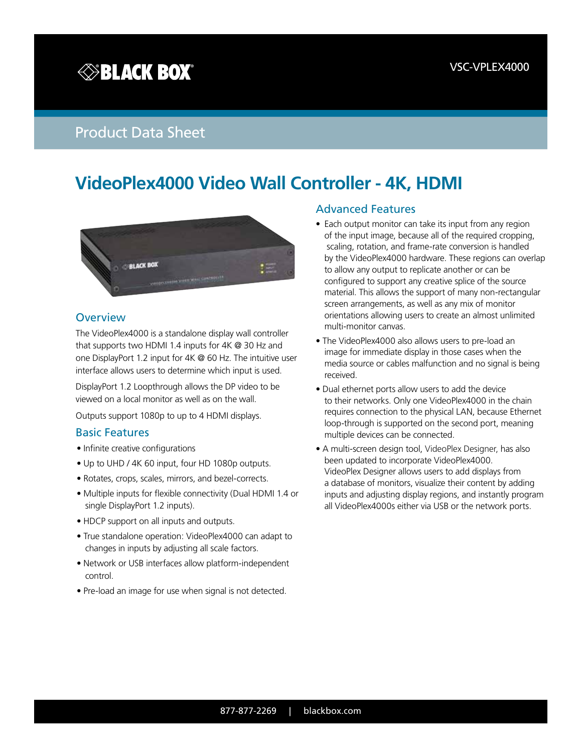# **SBLACK BOX®**

# Product Data Sheet

# **VideoPlex4000 Video Wall Controller - 4K, HDMI**



#### **Overview**

The VideoPlex4000 is a standalone display wall controller that supports two HDMI 1.4 inputs for 4K @ 30 Hz and one DisplayPort 1.2 input for 4K @ 60 Hz. The intuitive user interface allows users to determine which input is used.

DisplayPort 1.2 Loopthrough allows the DP video to be viewed on a local monitor as well as on the wall.

Outputs support 1080p to up to 4 HDMI displays.

#### Basic Features

- Infinite creative configurations
- Up to UHD / 4K 60 input, four HD 1080p outputs.
- Rotates, crops, scales, mirrors, and bezel-corrects.
- Multiple inputs for flexible connectivity (Dual HDMI 1.4 or single DisplayPort 1.2 inputs).
- HDCP support on all inputs and outputs.
- True standalone operation: VideoPlex4000 can adapt to changes in inputs by adjusting all scale factors.
- Network or USB interfaces allow platform-independent control.
- Pre-load an image for use when signal is not detected.

### Advanced Features

- Each output monitor can take its input from any region of the input image, because all of the required cropping, scaling, rotation, and frame-rate conversion is handled by the VideoPlex4000 hardware. These regions can overlap to allow any output to replicate another or can be configured to support any creative splice of the source material. This allows the support of many non-rectangular screen arrangements, as well as any mix of monitor orientations allowing users to create an almost unlimited multi-monitor canvas.
- The VideoPlex4000 also allows users to pre-load an image for immediate display in those cases when the media source or cables malfunction and no signal is being received.
- Dual ethernet ports allow users to add the device to their networks. Only one VideoPlex4000 in the chain requires connection to the physical LAN, because Ethernet loop-through is supported on the second port, meaning multiple devices can be connected.
- A multi-screen design tool, VideoPlex Designer, has also been updated to incorporate VideoPlex4000. VideoPlex Designer allows users to add displays from a database of monitors, visualize their content by adding inputs and adjusting display regions, and instantly program all VideoPlex4000s either via USB or the network ports.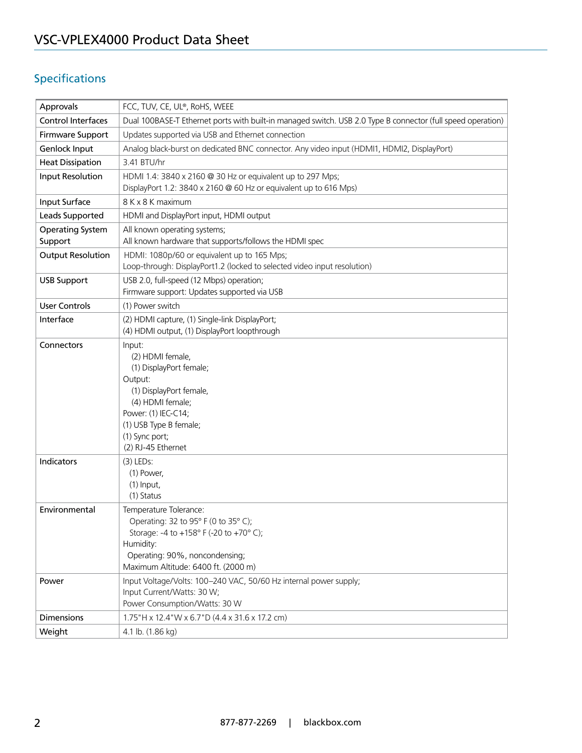# Specifications

| Approvals                | FCC, TUV, CE, UL®, RoHS, WEEE                                                                                                                                                                            |
|--------------------------|----------------------------------------------------------------------------------------------------------------------------------------------------------------------------------------------------------|
| Control Interfaces       | Dual 100BASE-T Ethernet ports with built-in managed switch. USB 2.0 Type B connector (full speed operation)                                                                                              |
| Firmware Support         | Updates supported via USB and Ethernet connection                                                                                                                                                        |
| Genlock Input            | Analog black-burst on dedicated BNC connector. Any video input (HDMI1, HDMI2, DisplayPort)                                                                                                               |
| <b>Heat Dissipation</b>  | 3.41 BTU/hr                                                                                                                                                                                              |
| Input Resolution         | HDMI 1.4: 3840 x 2160 @ 30 Hz or equivalent up to 297 Mps;<br>DisplayPort 1.2: 3840 x 2160 @ 60 Hz or equivalent up to 616 Mps)                                                                          |
| Input Surface            | 8 K x 8 K maximum                                                                                                                                                                                        |
| Leads Supported          | HDMI and DisplayPort input, HDMI output                                                                                                                                                                  |
| <b>Operating System</b>  | All known operating systems;                                                                                                                                                                             |
| Support                  | All known hardware that supports/follows the HDMI spec                                                                                                                                                   |
| <b>Output Resolution</b> | HDMI: 1080p/60 or equivalent up to 165 Mps;<br>Loop-through: DisplayPort1.2 (locked to selected video input resolution)                                                                                  |
| <b>USB Support</b>       | USB 2.0, full-speed (12 Mbps) operation;<br>Firmware support: Updates supported via USB                                                                                                                  |
| <b>User Controls</b>     | (1) Power switch                                                                                                                                                                                         |
| Interface                | (2) HDMI capture, (1) Single-link DisplayPort;                                                                                                                                                           |
|                          | (4) HDMI output, (1) DisplayPort loopthrough                                                                                                                                                             |
| Connectors               | Input:<br>(2) HDMI female,<br>(1) DisplayPort female;<br>Output:<br>(1) DisplayPort female,<br>(4) HDMI female;<br>Power: (1) IEC-C14;<br>(1) USB Type B female;<br>(1) Sync port;<br>(2) RJ-45 Ethernet |
| Indicators               | $(3)$ LEDs:<br>(1) Power,<br>$(1)$ Input,<br>(1) Status                                                                                                                                                  |
| Environmental            | Temperature Tolerance:<br>Operating: 32 to 95° F (0 to 35° C);<br>Storage: -4 to +158° F (-20 to +70° C);<br>Humidity:<br>Operating: 90%, noncondensing;<br>Maximum Altitude: 6400 ft. (2000 m)          |
| Power                    | Input Voltage/Volts: 100-240 VAC, 50/60 Hz internal power supply;<br>Input Current/Watts: 30 W;<br>Power Consumption/Watts: 30 W                                                                         |
| <b>Dimensions</b>        | 1.75"H x 12.4"W x 6.7"D (4.4 x 31.6 x 17.2 cm)                                                                                                                                                           |
| Weight                   | 4.1 lb. (1.86 kg)                                                                                                                                                                                        |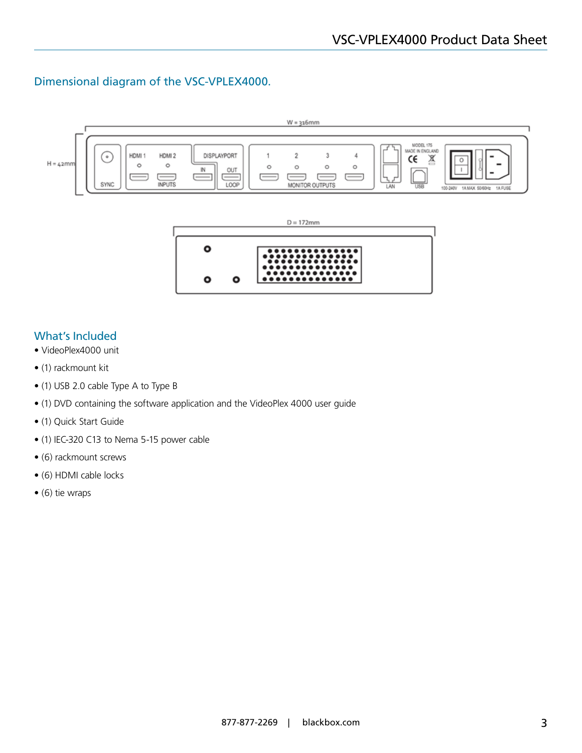## Dimensional diagram of the VSC-VPLEX4000.





## What's Included

- VideoPlex4000 unit
- (1) rackmount kit
- (1) USB 2.0 cable Type A to Type B
- (1) DVD containing the software application and the VideoPlex 4000 user guide
- (1) Quick Start Guide
- (1) IEC-320 C13 to Nema 5-15 power cable
- (6) rackmount screws
- (6) HDMI cable locks
- (6) tie wraps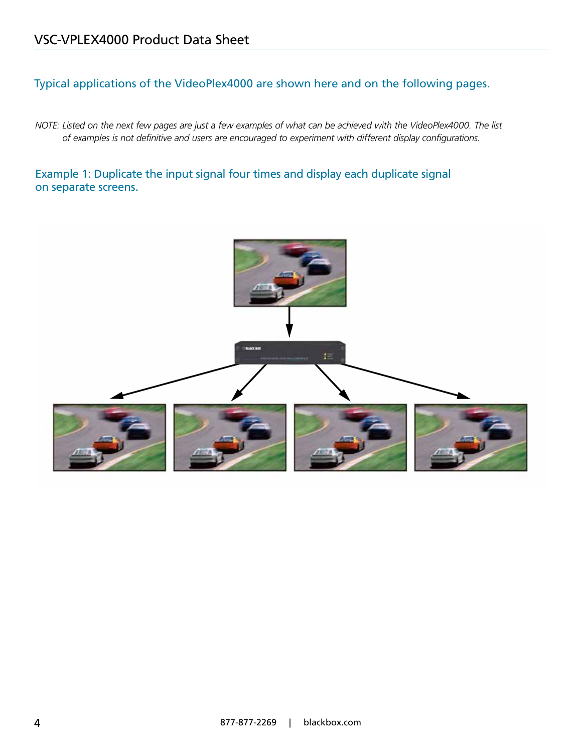# Typical applications of the VideoPlex4000 are shown here and on the following pages.

*NOTE: Listed on the next few pages are just a few examples of what can be achieved with the VideoPlex4000. The list of examples is not definitive and users are encouraged to experiment with different display configurations.*

## Example 1: Duplicate the input signal four times and display each duplicate signal on separate screens.

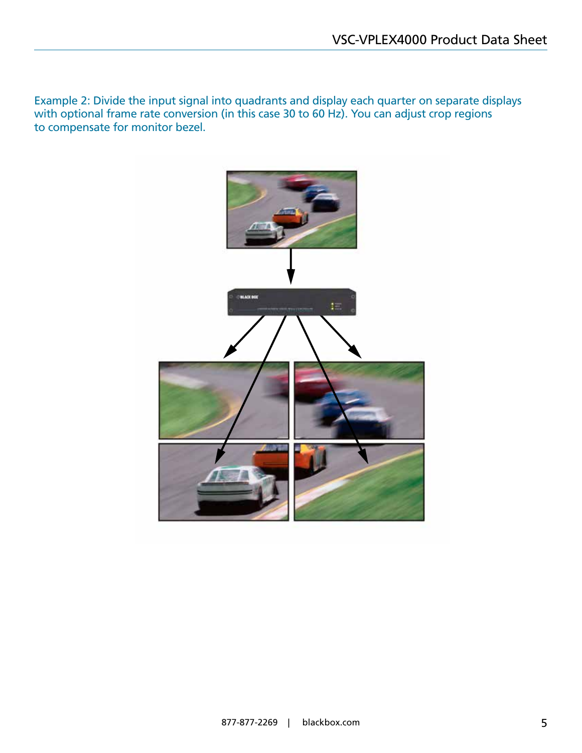Example 2: Divide the input signal into quadrants and display each quarter on separate displays with optional frame rate conversion (in this case 30 to 60 Hz). You can adjust crop regions to compensate for monitor bezel.

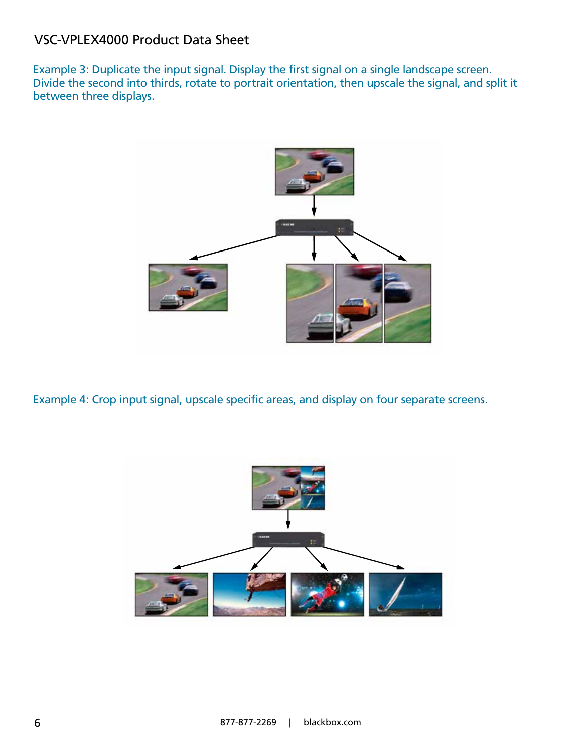Example 3: Duplicate the input signal. Display the first signal on a single landscape screen. Divide the second into thirds, rotate to portrait orientation, then upscale the signal, and split it between three displays.



Example 4: Crop input signal, upscale specific areas, and display on four separate screens.

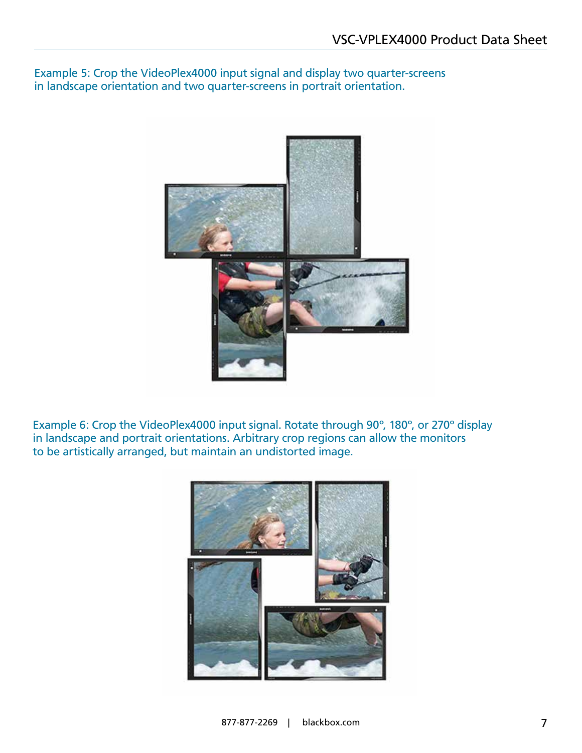Example 5: Crop the VideoPlex4000 input signal and display two quarter-screens in landscape orientation and two quarter-screens in portrait orientation.



Example 6: Crop the VideoPlex4000 input signal. Rotate through 90º, 180º, or 270º display in landscape and portrait orientations. Arbitrary crop regions can allow the monitors to be artistically arranged, but maintain an undistorted image.